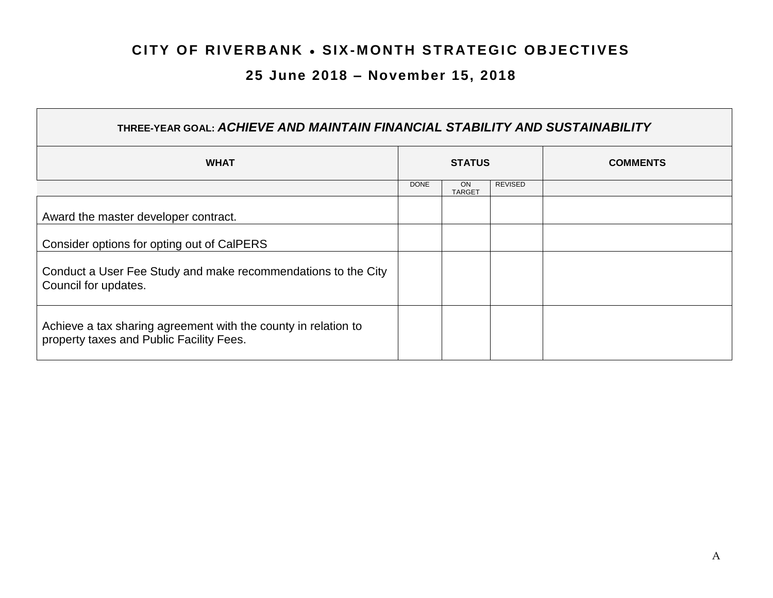## **CITY OF RIVERBANK . SIX-MONTH STRATEGIC OBJECTIVES**

## **25 June 2018 – November 15, 2018**

| THREE-YEAR GOAL: ACHIEVE AND MAINTAIN FINANCIAL STABILITY AND SUSTAINABILITY                               |               |                            |                |  |  |  |                 |
|------------------------------------------------------------------------------------------------------------|---------------|----------------------------|----------------|--|--|--|-----------------|
| <b>WHAT</b>                                                                                                | <b>STATUS</b> |                            |                |  |  |  | <b>COMMENTS</b> |
|                                                                                                            | <b>DONE</b>   | <b>ON</b><br><b>TARGET</b> | <b>REVISED</b> |  |  |  |                 |
| Award the master developer contract.                                                                       |               |                            |                |  |  |  |                 |
| Consider options for opting out of CalPERS                                                                 |               |                            |                |  |  |  |                 |
| Conduct a User Fee Study and make recommendations to the City<br>Council for updates.                      |               |                            |                |  |  |  |                 |
| Achieve a tax sharing agreement with the county in relation to<br>property taxes and Public Facility Fees. |               |                            |                |  |  |  |                 |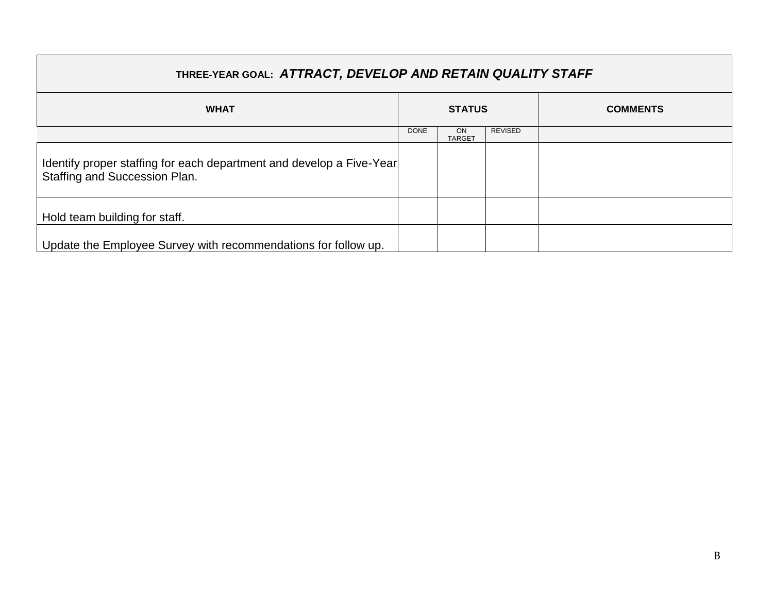| THREE-YEAR GOAL: ATTRACT, DEVELOP AND RETAIN QUALITY STAFF                                            |               |                     |                |                 |  |  |
|-------------------------------------------------------------------------------------------------------|---------------|---------------------|----------------|-----------------|--|--|
| <b>WHAT</b>                                                                                           | <b>STATUS</b> |                     |                | <b>COMMENTS</b> |  |  |
|                                                                                                       | <b>DONE</b>   | ON<br><b>TARGET</b> | <b>REVISED</b> |                 |  |  |
| Identify proper staffing for each department and develop a Five-Year<br>Staffing and Succession Plan. |               |                     |                |                 |  |  |
| Hold team building for staff.                                                                         |               |                     |                |                 |  |  |
| Update the Employee Survey with recommendations for follow up.                                        |               |                     |                |                 |  |  |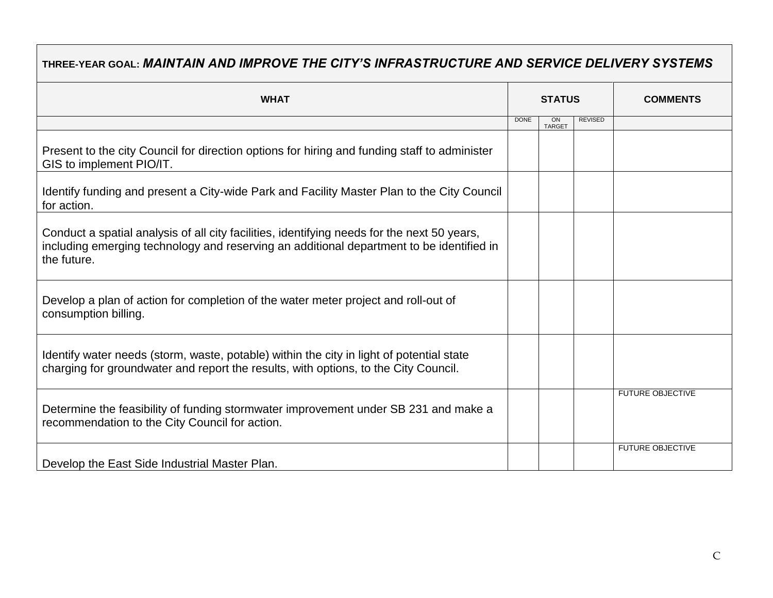## **THREE-YEAR GOAL:** *MAINTAIN AND IMPROVE THE CITY'S INFRASTRUCTURE AND SERVICE DELIVERY SYSTEMS*

| <b>WHAT</b>                                                                                                                                                                                            | <b>STATUS</b> |                     |                | <b>COMMENTS</b>         |  |
|--------------------------------------------------------------------------------------------------------------------------------------------------------------------------------------------------------|---------------|---------------------|----------------|-------------------------|--|
|                                                                                                                                                                                                        | <b>DONE</b>   | ON<br><b>TARGET</b> | <b>REVISED</b> |                         |  |
| Present to the city Council for direction options for hiring and funding staff to administer<br>GIS to implement PIO/IT.                                                                               |               |                     |                |                         |  |
| Identify funding and present a City-wide Park and Facility Master Plan to the City Council<br>for action.                                                                                              |               |                     |                |                         |  |
| Conduct a spatial analysis of all city facilities, identifying needs for the next 50 years,<br>including emerging technology and reserving an additional department to be identified in<br>the future. |               |                     |                |                         |  |
| Develop a plan of action for completion of the water meter project and roll-out of<br>consumption billing.                                                                                             |               |                     |                |                         |  |
| Identify water needs (storm, waste, potable) within the city in light of potential state<br>charging for groundwater and report the results, with options, to the City Council.                        |               |                     |                |                         |  |
| Determine the feasibility of funding stormwater improvement under SB 231 and make a<br>recommendation to the City Council for action.                                                                  |               |                     |                | <b>FUTURE OBJECTIVE</b> |  |
| Develop the East Side Industrial Master Plan.                                                                                                                                                          |               |                     |                | <b>FUTURE OBJECTIVE</b> |  |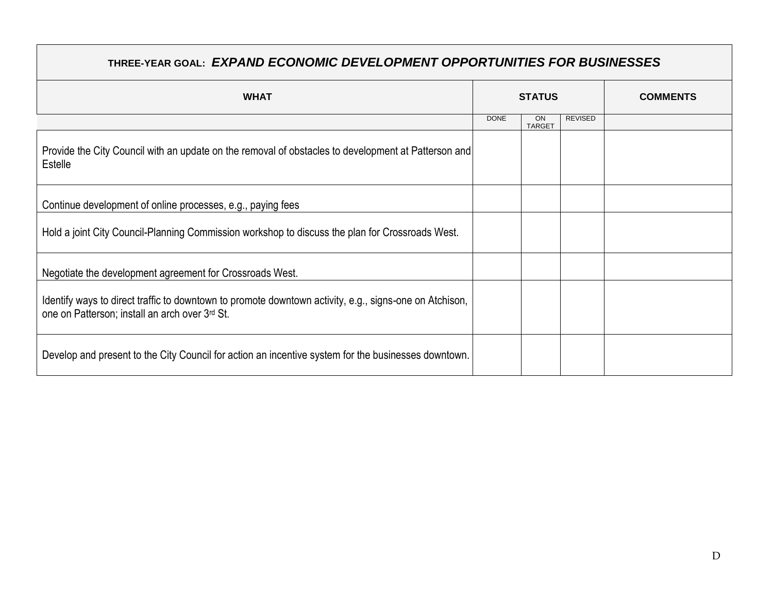## **THREE-YEAR GOAL:** *EXPAND ECONOMIC DEVELOPMENT OPPORTUNITIES FOR BUSINESSES*

| <b>WHAT</b>                                                                                                                                              | <b>STATUS</b> |                     |                | <b>COMMENTS</b> |
|----------------------------------------------------------------------------------------------------------------------------------------------------------|---------------|---------------------|----------------|-----------------|
|                                                                                                                                                          | <b>DONE</b>   | ON<br><b>TARGET</b> | <b>REVISED</b> |                 |
| Provide the City Council with an update on the removal of obstacles to development at Patterson and<br>Estelle                                           |               |                     |                |                 |
| Continue development of online processes, e.g., paying fees                                                                                              |               |                     |                |                 |
| Hold a joint City Council-Planning Commission workshop to discuss the plan for Crossroads West.                                                          |               |                     |                |                 |
| Negotiate the development agreement for Crossroads West.                                                                                                 |               |                     |                |                 |
| Identify ways to direct traffic to downtown to promote downtown activity, e.g., signs-one on Atchison,<br>one on Patterson; install an arch over 3rd St. |               |                     |                |                 |
| Develop and present to the City Council for action an incentive system for the businesses downtown.                                                      |               |                     |                |                 |